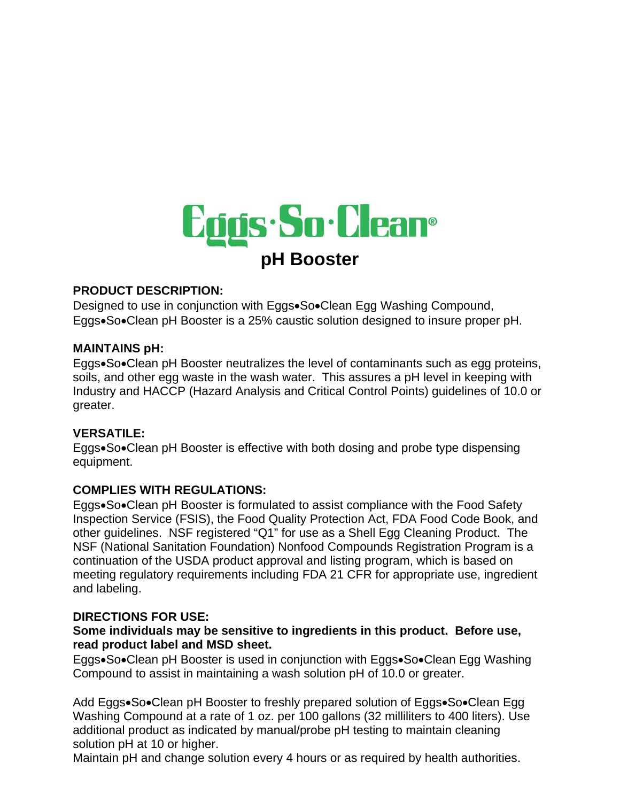

## **PRODUCT DESCRIPTION:**

Designed to use in conjunction with Eggs•So•Clean Egg Washing Compound, Eggs•So•Clean pH Booster is a 25% caustic solution designed to insure proper pH.

### **MAINTAINS pH:**

Eggs•So•Clean pH Booster neutralizes the level of contaminants such as egg proteins, soils, and other egg waste in the wash water. This assures a pH level in keeping with Industry and HACCP (Hazard Analysis and Critical Control Points) guidelines of 10.0 or greater.

# **VERSATILE:**

Eggs•So•Clean pH Booster is effective with both dosing and probe type dispensing equipment.

# **COMPLIES WITH REGULATIONS:**

Eggs•So•Clean pH Booster is formulated to assist compliance with the Food Safety Inspection Service (FSIS), the Food Quality Protection Act, FDA Food Code Book, and other guidelines. NSF registered "Q1" for use as a Shell Egg Cleaning Product. The NSF (National Sanitation Foundation) Nonfood Compounds Registration Program is a continuation of the USDA product approval and listing program, which is based on meeting regulatory requirements including FDA 21 CFR for appropriate use, ingredient and labeling.

### **DIRECTIONS FOR USE:**

### **Some individuals may be sensitive to ingredients in this product. Before use, read product label and MSD sheet.**

Eggs•So•Clean pH Booster is used in conjunction with Eggs•So•Clean Egg Washing Compound to assist in maintaining a wash solution pH of 10.0 or greater.

Add Eggs•So•Clean pH Booster to freshly prepared solution of Eggs•So•Clean Egg Washing Compound at a rate of 1 oz. per 100 gallons (32 milliliters to 400 liters). Use additional product as indicated by manual/probe pH testing to maintain cleaning solution pH at 10 or higher.

Maintain pH and change solution every 4 hours or as required by health authorities.